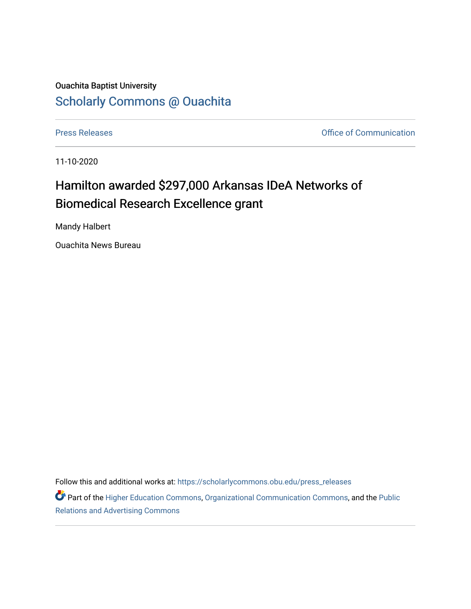## Ouachita Baptist University [Scholarly Commons @ Ouachita](https://scholarlycommons.obu.edu/)

[Press Releases](https://scholarlycommons.obu.edu/press_releases) **Press Releases Communication Press Releases Office of Communication** 

11-10-2020

## Hamilton awarded \$297,000 Arkansas IDeA Networks of Biomedical Research Excellence grant

Mandy Halbert

Ouachita News Bureau

Follow this and additional works at: [https://scholarlycommons.obu.edu/press\\_releases](https://scholarlycommons.obu.edu/press_releases?utm_source=scholarlycommons.obu.edu%2Fpress_releases%2F737&utm_medium=PDF&utm_campaign=PDFCoverPages)

Part of the [Higher Education Commons,](http://network.bepress.com/hgg/discipline/1245?utm_source=scholarlycommons.obu.edu%2Fpress_releases%2F737&utm_medium=PDF&utm_campaign=PDFCoverPages) [Organizational Communication Commons,](http://network.bepress.com/hgg/discipline/335?utm_source=scholarlycommons.obu.edu%2Fpress_releases%2F737&utm_medium=PDF&utm_campaign=PDFCoverPages) and the [Public](http://network.bepress.com/hgg/discipline/336?utm_source=scholarlycommons.obu.edu%2Fpress_releases%2F737&utm_medium=PDF&utm_campaign=PDFCoverPages) [Relations and Advertising Commons](http://network.bepress.com/hgg/discipline/336?utm_source=scholarlycommons.obu.edu%2Fpress_releases%2F737&utm_medium=PDF&utm_campaign=PDFCoverPages)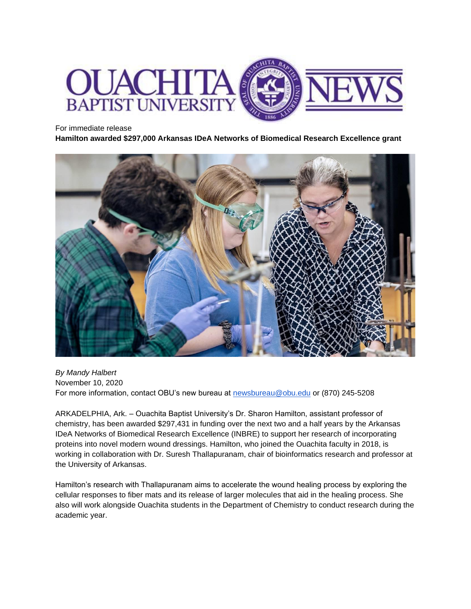

## For immediate release

**Hamilton awarded \$297,000 Arkansas IDeA Networks of Biomedical Research Excellence grant** 



*By Mandy Halbert* November 10, 2020 For more information, contact OBU's new bureau at [newsbureau@obu.edu](mailto:newsbureau@obu.edu) or (870) 245-5208

ARKADELPHIA, Ark. – Ouachita Baptist University's Dr. Sharon Hamilton, assistant professor of chemistry, has been awarded \$297,431 in funding over the next two and a half years by the Arkansas IDeA Networks of Biomedical Research Excellence (INBRE) to support her research of incorporating proteins into novel modern wound dressings. Hamilton, who joined the Ouachita faculty in 2018, is working in collaboration with Dr. Suresh Thallapuranam, chair of bioinformatics research and professor at the University of Arkansas.

Hamilton's research with Thallapuranam aims to accelerate the wound healing process by exploring the cellular responses to fiber mats and its release of larger molecules that aid in the healing process. She also will work alongside Ouachita students in the Department of Chemistry to conduct research during the academic year.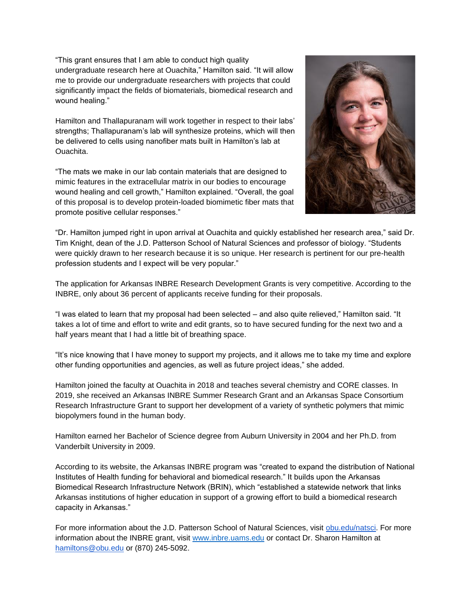"This grant ensures that I am able to conduct high quality undergraduate research here at Ouachita," Hamilton said. "It will allow me to provide our undergraduate researchers with projects that could significantly impact the fields of biomaterials, biomedical research and wound healing."

Hamilton and Thallapuranam will work together in respect to their labs' strengths; Thallapuranam's lab will synthesize proteins, which will then be delivered to cells using nanofiber mats built in Hamilton's lab at Ouachita.

"The mats we make in our lab contain materials that are designed to mimic features in the extracellular matrix in our bodies to encourage wound healing and cell growth," Hamilton explained. "Overall, the goal of this proposal is to develop protein-loaded biomimetic fiber mats that promote positive cellular responses."



"Dr. Hamilton jumped right in upon arrival at Ouachita and quickly established her research area," said Dr. Tim Knight, dean of the J.D. Patterson School of Natural Sciences and professor of biology. "Students were quickly drawn to her research because it is so unique. Her research is pertinent for our pre-health profession students and I expect will be very popular."

The application for Arkansas INBRE Research Development Grants is very competitive. According to the INBRE, only about 36 percent of applicants receive funding for their proposals.

"I was elated to learn that my proposal had been selected – and also quite relieved," Hamilton said. "It takes a lot of time and effort to write and edit grants, so to have secured funding for the next two and a half years meant that I had a little bit of breathing space.

"It's nice knowing that I have money to support my projects, and it allows me to take my time and explore other funding opportunities and agencies, as well as future project ideas," she added.

Hamilton joined the faculty at Ouachita in 2018 and teaches several chemistry and CORE classes. In 2019, she received an Arkansas INBRE Summer Research Grant and an Arkansas Space Consortium Research Infrastructure Grant to support her development of a variety of synthetic polymers that mimic biopolymers found in the human body.

Hamilton earned her Bachelor of Science degree from Auburn University in 2004 and her Ph.D. from Vanderbilt University in 2009.

According to its website, the Arkansas INBRE program was "created to expand the distribution of National Institutes of Health funding for behavioral and biomedical research." It builds upon the Arkansas Biomedical Research Infrastructure Network (BRIN), which "established a statewide network that links Arkansas institutions of higher education in support of a growing effort to build a biomedical research capacity in Arkansas."

For more information about the J.D. Patterson School of Natural Sciences, visit [obu.edu/natsci.](https://obu.edu/natsci/) For more information about the INBRE grant, visit [www.inbre.uams.edu](http://www.inbre.uams.edu/) or contact Dr. Sharon Hamilton at [hamiltons@obu.edu](mailto:hamiltons@obu.edu) or (870) 245-5092.